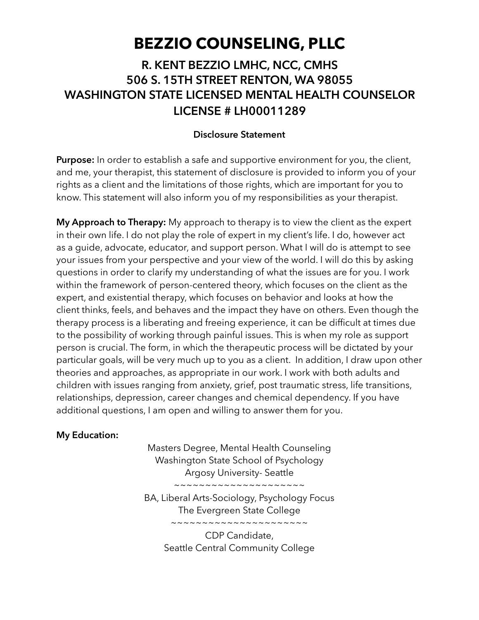# **BEZZIO COUNSELING, PLLC**

## **R. KENT BEZZIO LMHC, NCC, CMHS 506 S. 15TH STREET RENTON, WA 98055 WASHINGTON STATE LICENSED MENTAL HEALTH COUNSELOR LICENSE # LH00011289**

#### **Disclosure Statement**

**Purpose:** In order to establish a safe and supportive environment for you, the client, and me, your therapist, this statement of disclosure is provided to inform you of your rights as a client and the limitations of those rights, which are important for you to know. This statement will also inform you of my responsibilities as your therapist.

**My Approach to Therapy:** My approach to therapy is to view the client as the expert in their own life. I do not play the role of expert in my client's life. I do, however act as a guide, advocate, educator, and support person. What I will do is attempt to see your issues from your perspective and your view of the world. I will do this by asking questions in order to clarify my understanding of what the issues are for you. I work within the framework of person-centered theory, which focuses on the client as the expert, and existential therapy, which focuses on behavior and looks at how the client thinks, feels, and behaves and the impact they have on others. Even though the therapy process is a liberating and freeing experience, it can be difficult at times due to the possibility of working through painful issues. This is when my role as support person is crucial. The form, in which the therapeutic process will be dictated by your particular goals, will be very much up to you as a client. In addition, I draw upon other theories and approaches, as appropriate in our work. I work with both adults and children with issues ranging from anxiety, grief, post traumatic stress, life transitions, relationships, depression, career changes and chemical dependency. If you have additional questions, I am open and willing to answer them for you.

#### **My Education:**

Masters Degree, Mental Health Counseling Washington State School of Psychology Argosy University- Seattle ~~~~~~~~~~~~~~~~~~~~~

BA, Liberal Arts-Sociology, Psychology Focus The Evergreen State College ~~~~~~~~~~~~~~~~~~~~~~

> CDP Candidate, Seattle Central Community College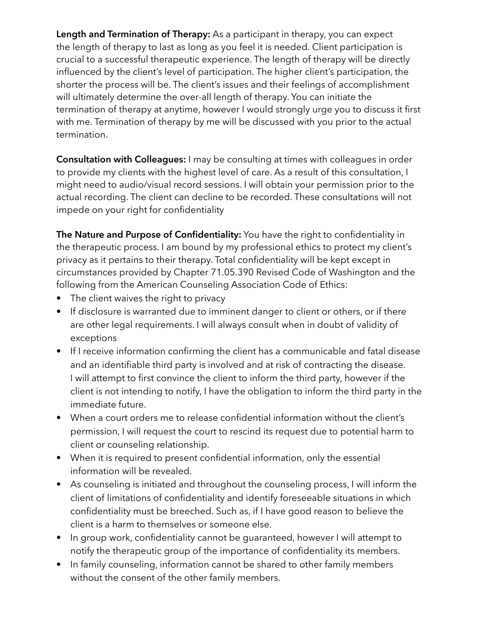**Length and Termination of Therapy:** As a participant in therapy, you can expect the length of therapy to last as long as you feel it is needed. Client participation is crucial to a successful therapeutic experience. The length of therapy will be directly influenced by the client's level of participation. The higher client's participation, the shorter the process will be. The client's issues and their feelings of accomplishment will ultimately determine the over-all length of therapy. You can initiate the termination of therapy at anytime, however I would strongly urge you to discuss it first with me. Termination of therapy by me will be discussed with you prior to the actual termination.

**Consultation with Colleagues:** I may be consulting at times with colleagues in order to provide my clients with the highest level of care. As a result of this consultation, I might need to audio/visual record sessions. I will obtain your permission prior to the actual recording. The client can decline to be recorded. These consultations will not impede on your right for confidentiality

**The Nature and Purpose of Confidentiality:** You have the right to confidentiality in the therapeutic process. I am bound by my professional ethics to protect my client's privacy as it pertains to their therapy. Total confidentiality will be kept except in circumstances provided by Chapter 71.05.390 Revised Code of Washington and the following from the American Counseling Association Code of Ethics:

- The client waives the right to privacy
- If disclosure is warranted due to imminent danger to client or others, or if there are other legal requirements. I will always consult when in doubt of validity of exceptions
- If I receive information confirming the client has a communicable and fatal disease and an identifiable third party is involved and at risk of contracting the disease. I will attempt to first convince the client to inform the third party, however if the client is not intending to notify, I have the obligation to inform the third party in the immediate future.
- When a court orders me to release confidential information without the client's permission, I will request the court to rescind its request due to potential harm to client or counseling relationship.
- When it is required to present confidential information, only the essential information will be revealed.
- As counseling is initiated and throughout the counseling process, I will inform the client of limitations of confidentiality and identify foreseeable situations in which confidentiality must be breeched. Such as, if I have good reason to believe the client is a harm to themselves or someone else.
- In group work, confidentiality cannot be guaranteed, however I will attempt to notify the therapeutic group of the importance of confidentiality its members.
- In family counseling, information cannot be shared to other family members without the consent of the other family members.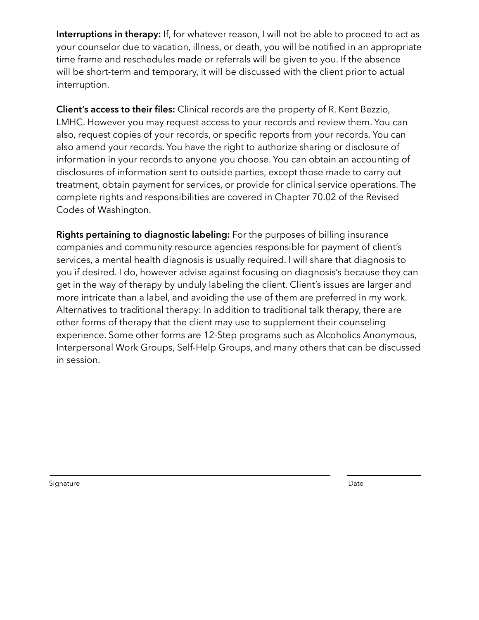**Interruptions in therapy:** If, for whatever reason, I will not be able to proceed to act as your counselor due to vacation, illness, or death, you will be notified in an appropriate time frame and reschedules made or referrals will be given to you. If the absence will be short-term and temporary, it will be discussed with the client prior to actual interruption.

**Client's access to their files:** Clinical records are the property of R. Kent Bezzio, LMHC. However you may request access to your records and review them. You can also, request copies of your records, or specific reports from your records. You can also amend your records. You have the right to authorize sharing or disclosure of information in your records to anyone you choose. You can obtain an accounting of disclosures of information sent to outside parties, except those made to carry out treatment, obtain payment for services, or provide for clinical service operations. The complete rights and responsibilities are covered in Chapter 70.02 of the Revised Codes of Washington.

**Rights pertaining to diagnostic labeling:** For the purposes of billing insurance companies and community resource agencies responsible for payment of client's services, a mental health diagnosis is usually required. I will share that diagnosis to you if desired. I do, however advise against focusing on diagnosis's because they can get in the way of therapy by unduly labeling the client. Client's issues are larger and more intricate than a label, and avoiding the use of them are preferred in my work. Alternatives to traditional therapy: In addition to traditional talk therapy, there are other forms of therapy that the client may use to supplement their counseling experience. Some other forms are 12-Step programs such as Alcoholics Anonymous, Interpersonal Work Groups, Self-Help Groups, and many others that can be discussed in session.

Signature Date of the Date of the Date of the Date of the Date of the Date of the Date of the Date of the Date